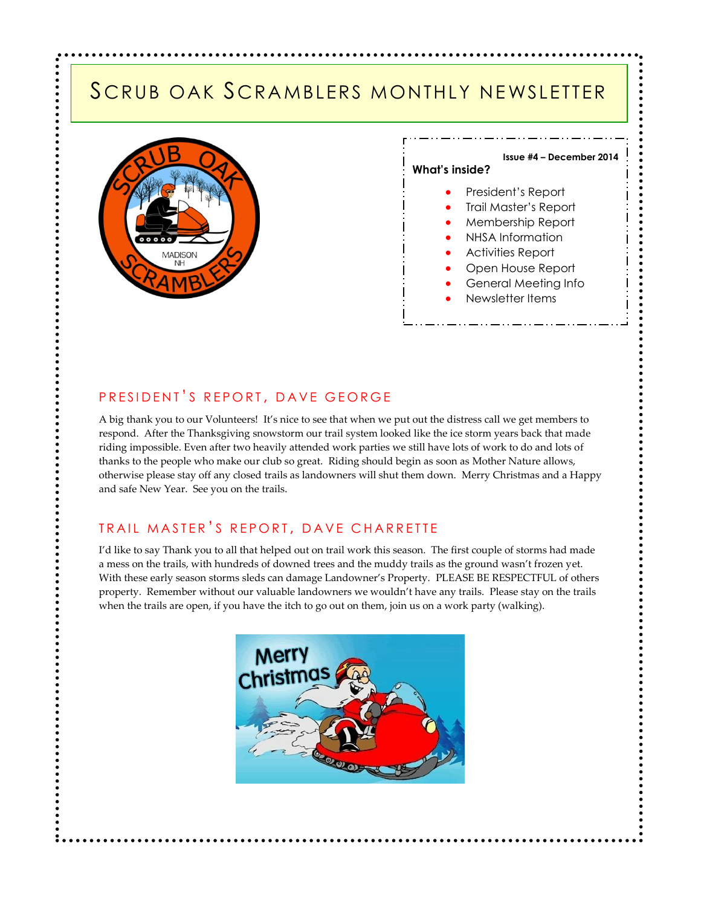### SCRUB OAK SCRAMBLERS MONTHLY NEWSLETTER





.......

### PRESIDENT'S REPORT, DAVE GEORGE

A big thank you to our Volunteers! It's nice to see that when we put out the distress call we get members to respond. After the Thanksgiving snowstorm our trail system looked like the ice storm years back that made riding impossible. Even after two heavily attended work parties we still have lots of work to do and lots of thanks to the people who make our club so great. Riding should begin as soon as Mother Nature allows, otherwise please stay off any closed trails as landowners will shut them down. Merry Christmas and a Happy and safe New Year. See you on the trails.

### TRAIL MASTER'S REPORT, DAVE CHARRETTE

I'd like to say Thank you to all that helped out on trail work this season. The first couple of storms had made a mess on the trails, with hundreds of downed trees and the muddy trails as the ground wasn't frozen yet. With these early season storms sleds can damage Landowner's Property. PLEASE BE RESPECTFUL of others property. Remember without our valuable landowners we wouldn't have any trails. Please stay on the trails when the trails are open, if you have the itch to go out on them, join us on a work party (walking).

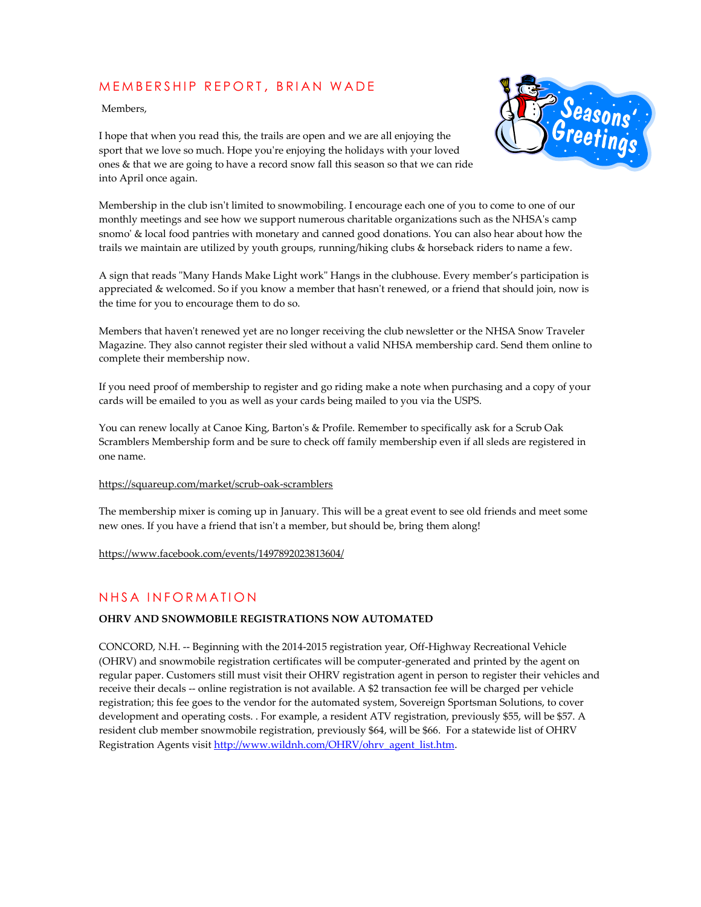### MEMBERSHIP REPORT, BRIAN WADE

Members,



I hope that when you read this, the trails are open and we are all enjoying the sport that we love so much. Hope you're enjoying the holidays with your loved ones & that we are going to have a record snow fall this season so that we can ride into April once again.

Membership in the club isn't limited to snowmobiling. I encourage each one of you to come to one of our monthly meetings and see how we support numerous charitable organizations such as the NHSA's camp snomo' & local food pantries with monetary and canned good donations. You can also hear about how the trails we maintain are utilized by youth groups, running/hiking clubs & horseback riders to name a few.

A sign that reads "Many Hands Make Light work" Hangs in the clubhouse. Every member's participation is appreciated & welcomed. So if you know a member that hasn't renewed, or a friend that should join, now is the time for you to encourage them to do so.

Members that haven't renewed yet are no longer receiving the club newsletter or the NHSA Snow Traveler Magazine. They also cannot register their sled without a valid NHSA membership card. Send them online to complete their membership now.

If you need proof of membership to register and go riding make a note when purchasing and a copy of your cards will be emailed to you as well as your cards being mailed to you via the USPS.

You can renew locally at Canoe King, Barton's & Profile. Remember to specifically ask for a Scrub Oak Scramblers Membership form and be sure to check off family membership even if all sleds are registered in one name.

#### <https://squareup.com/market/scrub-oak-scramblers>

The membership mixer is coming up in January. This will be a great event to see old friends and meet some new ones. If you have a friend that isn't a member, but should be, bring them along!

<https://www.facebook.com/events/1497892023813604/>

### NHSA INFORMATION

### **OHRV AND SNOWMOBILE REGISTRATIONS NOW AUTOMATED**

CONCORD, N.H. -- Beginning with the 2014-2015 registration year, Off-Highway Recreational Vehicle (OHRV) and snowmobile registration certificates will be computer-generated and printed by the agent on regular paper. Customers still must visit their OHRV registration agent in person to register their vehicles and receive their decals -- online registration is not available. A \$2 transaction fee will be charged per vehicle registration; this fee goes to the vendor for the automated system, Sovereign Sportsman Solutions, to cover development and operating costs. . For example, a resident ATV registration, previously \$55, will be \$57. A resident club member snowmobile registration, previously \$64, will be \$66. For a statewide list of OHRV Registration Agents visit [http://www.wildnh.com/OHRV/ohrv\\_agent\\_list.htm.](http://www.wildnh.com/OHRV/ohrv_agent_list.htm)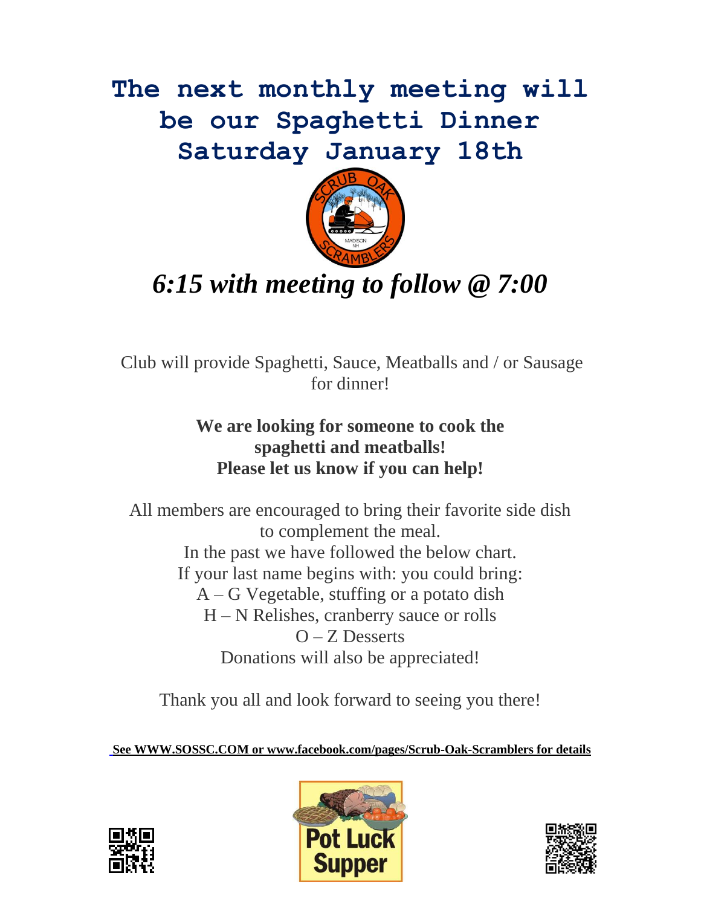**The next monthly meeting will be our Spaghetti Dinner Saturday January 18th**



## *6:15 with meeting to follow @ 7:00*

Club will provide Spaghetti, Sauce, Meatballs and / or Sausage for dinner!

### **We are looking for someone to cook the spaghetti and meatballs! Please let us know if you can help!**

All members are encouraged to bring their favorite side dish to complement the meal. In the past we have followed the below chart. If your last name begins with: you could bring: A – G Vegetable, stuffing or a potato dish H – N Relishes, cranberry sauce or rolls O – Z Desserts Donations will also be appreciated!

Thank you all and look forward to seeing you there!

**See [WWW.SOSSC.COM](http://www.sossc.com/) or www.facebook.com/pages/Scrub-Oak-Scramblers for details**





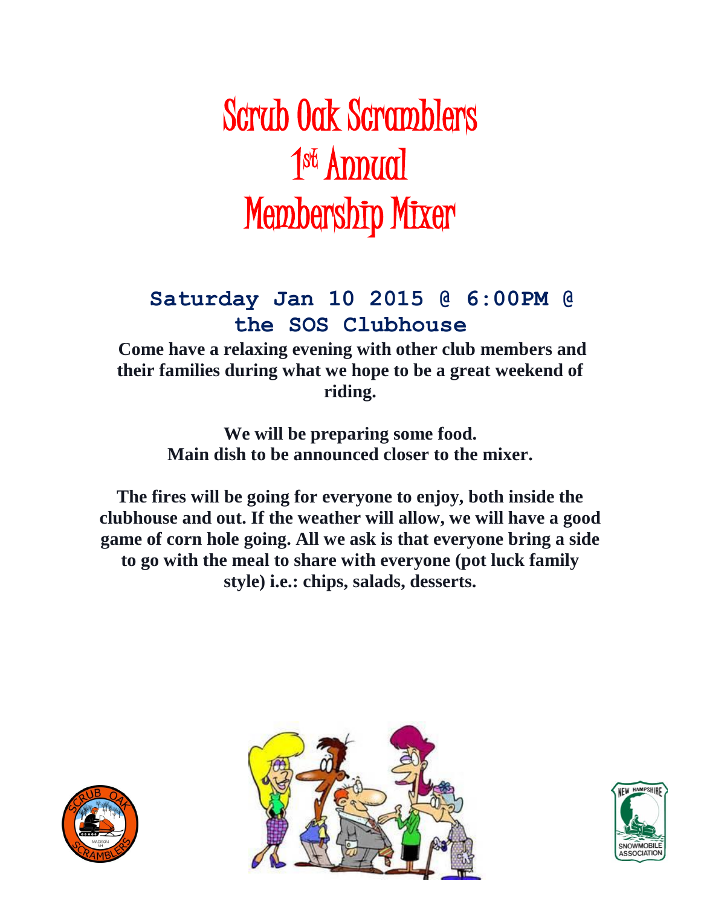# Scrub Oak Scramblers 1<sup>st</sup> Annual Membership Mixer

### **Saturday Jan 10 2015 @ 6:00PM @ the SOS Clubhouse**

**Come have a relaxing evening with other club members and their families during what we hope to be a great weekend of riding.** 

> **We will be preparing some food. Main dish to be announced closer to the mixer.**

**The fires will be going for everyone to enjoy, both inside the clubhouse and out. If the weather will allow, we will have a good game of corn hole going. All we ask is that everyone bring a side to go with the meal to share with everyone (pot luck family style) i.e.: chips, salads, desserts.**





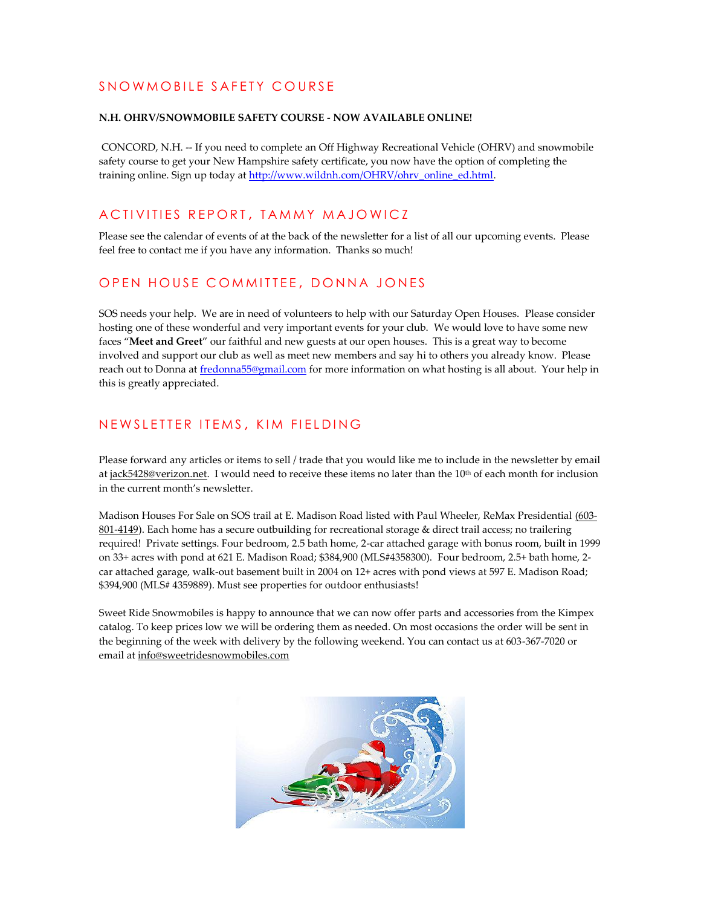### SNOWMOBILE SAFETY COURSE

#### **N.H. OHRV/SNOWMOBILE SAFETY COURSE - NOW AVAILABLE ONLINE!**

CONCORD, N.H. -- If you need to complete an Off Highway Recreational Vehicle (OHRV) and snowmobile safety course to get your New Hampshire safety certificate, you now have the option of completing the training online. Sign up today a[t http://www.wildnh.com/OHRV/ohrv\\_online\\_ed.html.](http://www.wildnh.com/OHRV/ohrv_online_ed.html)

### ACTIVITIES REPORT, TAMMY MAJOWICZ

Please see the calendar of events of at the back of the newsletter for a list of all our upcoming events. Please feel free to contact me if you have any information. Thanks so much!

### OPEN HOUSE COMMITTEE, DONNA JONES

SOS needs your help. We are in need of volunteers to help with our Saturday Open Houses. Please consider hosting one of these wonderful and very important events for your club. We would love to have some new faces "**Meet and Greet**" our faithful and new guests at our open houses. This is a great way to become involved and support our club as well as meet new members and say hi to others you already know. Please reach out to Donna a[t fredonna55@gmail.com](mailto:fredonna55@gmail.com) for more information on what hosting is all about. Your help in this is greatly appreciated.

### NEWSLETTER ITEMS, KIM FIELDING

Please forward any articles or items to sell / trade that you would like me to include in the newsletter by email at [jack5428@verizon.net.](mailto:jack5428@verizon.net) I would need to receive these items no later than the  $10<sup>th</sup>$  of each month for inclusion in the current month's newsletter.

Madison Houses For Sale on SOS trail at E. Madison Road listed with Paul Wheeler, ReMax Presidential [\(603-](http://tel:%28603-801-4149) [801-4149\)](http://tel:%28603-801-4149). Each home has a secure outbuilding for recreational storage & direct trail access; no trailering required! Private settings. Four bedroom, 2.5 bath home, 2-car attached garage with bonus room, built in 1999 on 33+ acres with pond at 621 E. Madison Road; \$384,900 (MLS#4358300). Four bedroom, 2.5+ bath home, 2 car attached garage, walk-out basement built in 2004 on 12+ acres with pond views at 597 E. Madison Road; \$394,900 (MLS# 4359889). Must see properties for outdoor enthusiasts!

Sweet Ride Snowmobiles is happy to announce that we can now offer parts and accessories from the Kimpex catalog. To keep prices low we will be ordering them as needed. On most occasions the order will be sent in the beginning of the week with delivery by the following weekend. You can contact us at 603-367-7020 or email a[t info@sweetridesnowmobiles.com](mailto:info@sweetridesnowmobiles.com)

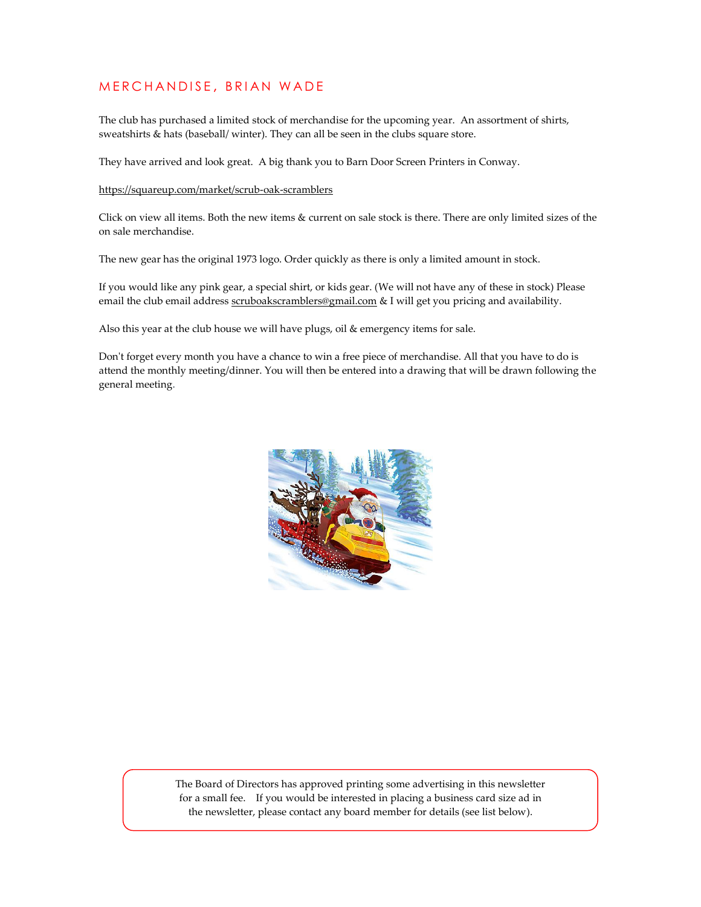### MERCHANDISE, BRIAN WADE

The club has purchased a limited stock of merchandise for the upcoming year. An assortment of shirts, sweatshirts & hats (baseball/ winter). They can all be seen in the clubs square store.

They have arrived and look great. A big thank you to Barn Door Screen Printers in Conway.

#### <https://squareup.com/market/scrub-oak-scramblers>

Click on view all items. Both the new items & current on sale stock is there. There are only limited sizes of the on sale merchandise.

The new gear has the original 1973 logo. Order quickly as there is only a limited amount in stock.

If you would like any pink gear, a special shirt, or kids gear. (We will not have any of these in stock) Please email the club email address [scruboakscramblers@gmail.com](mailto:scruboakscramblers@gmail.com) & I will get you pricing and availability.

Also this year at the club house we will have plugs, oil & emergency items for sale.

Don't forget every month you have a chance to win a free piece of merchandise. All that you have to do is attend the monthly meeting/dinner. You will then be entered into a drawing that will be drawn following the general meeting.



The Board of Directors has approved printing some advertising in this newsletter for a small fee. If you would be interested in placing a business card size ad in the newsletter, please contact any board member for details (see list below).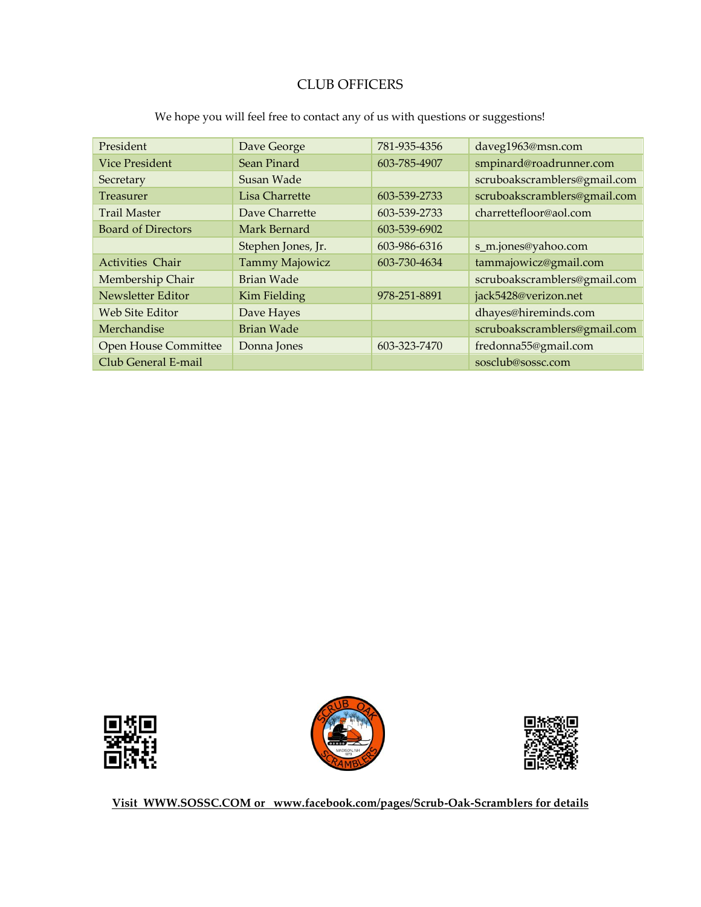### CLUB OFFICERS

| President                   | Dave George        | 781-935-4356 | daveg1963@msn.com            |
|-----------------------------|--------------------|--------------|------------------------------|
| <b>Vice President</b>       | Sean Pinard        | 603-785-4907 | smpinard@roadrunner.com      |
| Secretary                   | Susan Wade         |              | scruboakscramblers@gmail.com |
| Treasurer                   | Lisa Charrette     | 603-539-2733 | scruboakscramblers@gmail.com |
| <b>Trail Master</b>         | Dave Charrette     | 603-539-2733 | charrettefloor@aol.com       |
| <b>Board of Directors</b>   | Mark Bernard       | 603-539-6902 |                              |
|                             | Stephen Jones, Jr. | 603-986-6316 | s_m.jones@yahoo.com          |
| <b>Activities Chair</b>     | Tammy Majowicz     | 603-730-4634 | tammajowicz@gmail.com        |
| Membership Chair            | Brian Wade         |              | scruboakscramblers@gmail.com |
| Newsletter Editor           | Kim Fielding       | 978-251-8891 | jack5428@verizon.net         |
| Web Site Editor             | Dave Hayes         |              | dhayes@hireminds.com         |
| Merchandise                 | Brian Wade         |              | scruboakscramblers@gmail.com |
| <b>Open House Committee</b> | Donna Jones        | 603-323-7470 | fredonna55@gmail.com         |
| Club General E-mail         |                    |              | sosclub@sossc.com            |

We hope you will feel free to contact any of us with questions or suggestions!







**Visit [WWW.SOSSC.COM](http://www.sossc.com/) or www.facebook.com/pages/Scrub-Oak-Scramblers for details**